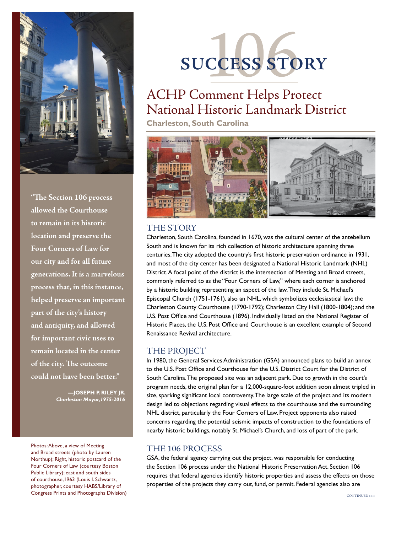

**"The Section 106 process allowed the Courthouse to remain in its historic location and preserve the Four Corners of Law for our city and for all future generations. It is a marvelous process that, in this instance, helped preserve an important part of the city's history and antiquity, and allowed for important civic uses to remain located in the center of the city. The outcome could not have been better."**

> **—Joseph P. Riley Jr.** *Charleston Mayor,1975-2016*

Photos: Above, a view of Meeting and Broad streets (photo by Lauren Northup); Right, historic postcard of the Four Corners of Law (courtesy Boston Public Library); east and south sides of courthouse,1963 (Louis I. Schwartz, photographer, courtesy HABS/Library of Congress Prints and Photographs Division)

# **Success Story**

# ACHP Comment Helps Protect National Historic Landmark District

**Charleston, South Carolina**



#### THE STORY

Charleston, South Carolina, founded in 1670, was the cultural center of the antebellum South and is known for its rich collection of historic architecture spanning three centuries. The city adopted the country's first historic preservation ordinance in 1931, and most of the city center has been designated a National Historic Landmark (NHL) District. A focal point of the district is the intersection of Meeting and Broad streets, commonly referred to as the "Four Corners of Law," where each corner is anchored by a historic building representing an aspect of the law. They include St. Michael's Episcopal Church (1751-1761), also an NHL, which symbolizes ecclesiastical law; the Charleston County Courthouse (1790-1792); Charleston City Hall (1800-1804); and the U.S. Post Office and Courthouse (1896). Individually listed on the National Register of Historic Places, the U.S. Post Office and Courthouse is an excellent example of Second Renaissance Revival architecture.

## THE PROJECT

In 1980, the General Services Administration (GSA) announced plans to build an annex to the U.S. Post Office and Courthouse for the U.S. District Court for the District of South Carolina. The proposed site was an adjacent park. Due to growth in the court's program needs, the original plan for a 12,000-square-foot addition soon almost tripled in size, sparking significant local controversy. The large scale of the project and its modern design led to objections regarding visual effects to the courthouse and the surrounding NHL district, particularly the Four Corners of Law. Project opponents also raised concerns regarding the potential seismic impacts of construction to the foundations of nearby historic buildings, notably St. Michael's Church, and loss of part of the park.

## the 106 process

GSA, the federal agency carrying out the project, was responsible for conducting the Section 106 process under the National Historic Preservation Act. Section 106 requires that federal agencies identify historic properties and assess the effects on those properties of the projects they carry out, fund, or permit. Federal agencies also are